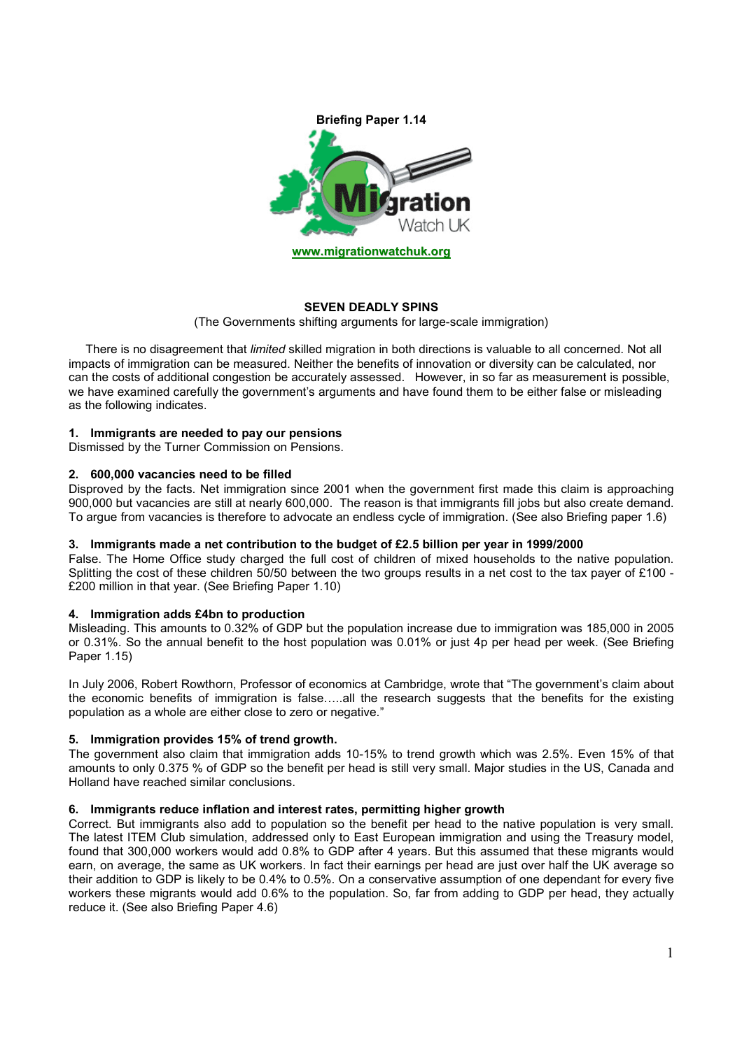

# **SEVEN DEADLY SPINS**

(The Governments shifting arguments for large-scale immigration)

There is no disagreement that *limited* skilled migration in both directions is valuable to all concerned. Not all impacts of immigration can be measured. Neither the benefits of innovation or diversity can be calculated, nor can the costs of additional congestion be accurately assessed. However, in so far as measurement is possible, we have examined carefully the government's arguments and have found them to be either false or misleading as the following indicates.

# **1. Immigrants are needed to pay our pensions**

Dismissed by the Turner Commission on Pensions.

# **2. 600,000 vacancies need to be filled**

Disproved by the facts. Net immigration since 2001 when the government first made this claim is approaching 900,000 but vacancies are still at nearly 600,000. The reason is that immigrants fill jobs but also create demand. To argue from vacancies is therefore to advocate an endless cycle of immigration. (See also Briefing paper 1.6)

# **3. Immigrants made a net contribution to the budget of £2.5 billion per year in 1999/2000**

False. The Home Office study charged the full cost of children of mixed households to the native population. Splitting the cost of these children 50/50 between the two groups results in a net cost to the tax payer of £100 - £200 million in that year. (See Briefing Paper 1.10)

# **4. Immigration adds £4bn to production**

Misleading. This amounts to 0.32% of GDP but the population increase due to immigration was 185,000 in 2005 or 0.31%. So the annual benefit to the host population was 0.01% or just 4p per head per week. (See Briefing Paper 1.15)

In July 2006, Robert Rowthorn, Professor of economics at Cambridge, wrote that "The government's claim about the economic benefits of immigration is false…..all the research suggests that the benefits for the existing population as a whole are either close to zero or negative."

# **5. Immigration provides 15% of trend growth.**

The government also claim that immigration adds 10-15% to trend growth which was 2.5%. Even 15% of that amounts to only 0.375 % of GDP so the benefit per head is still very small. Major studies in the US, Canada and Holland have reached similar conclusions.

# **6. Immigrants reduce inflation and interest rates, permitting higher growth**

Correct. But immigrants also add to population so the benefit per head to the native population is very small. The latest ITEM Club simulation, addressed only to East European immigration and using the Treasury model, found that 300,000 workers would add 0.8% to GDP after 4 years. But this assumed that these migrants would earn, on average, the same as UK workers. In fact their earnings per head are just over half the UK average so their addition to GDP is likely to be 0.4% to 0.5%. On a conservative assumption of one dependant for every five workers these migrants would add 0.6% to the population. So, far from adding to GDP per head, they actually reduce it. (See also Briefing Paper 4.6)